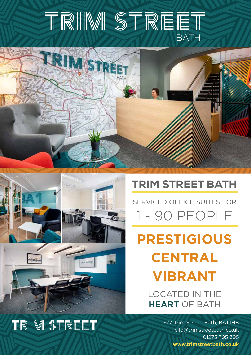# TRIM STREET **BATH**



### TRIM STREET BATH

SERVICED OFFICE SUITES FOR 1 - 90 PEOPLE

**PRESTIGIOUS CENTRAL VIBRANT**

LOCATED IN THE **HEART** OF BATH

> 6/7 Trim Street, Bath, BA1 1HB hello@trimstreetbath.co.uk 01275 795 395 **www.trimstreetbath.co.uk**



## TRIM STREET